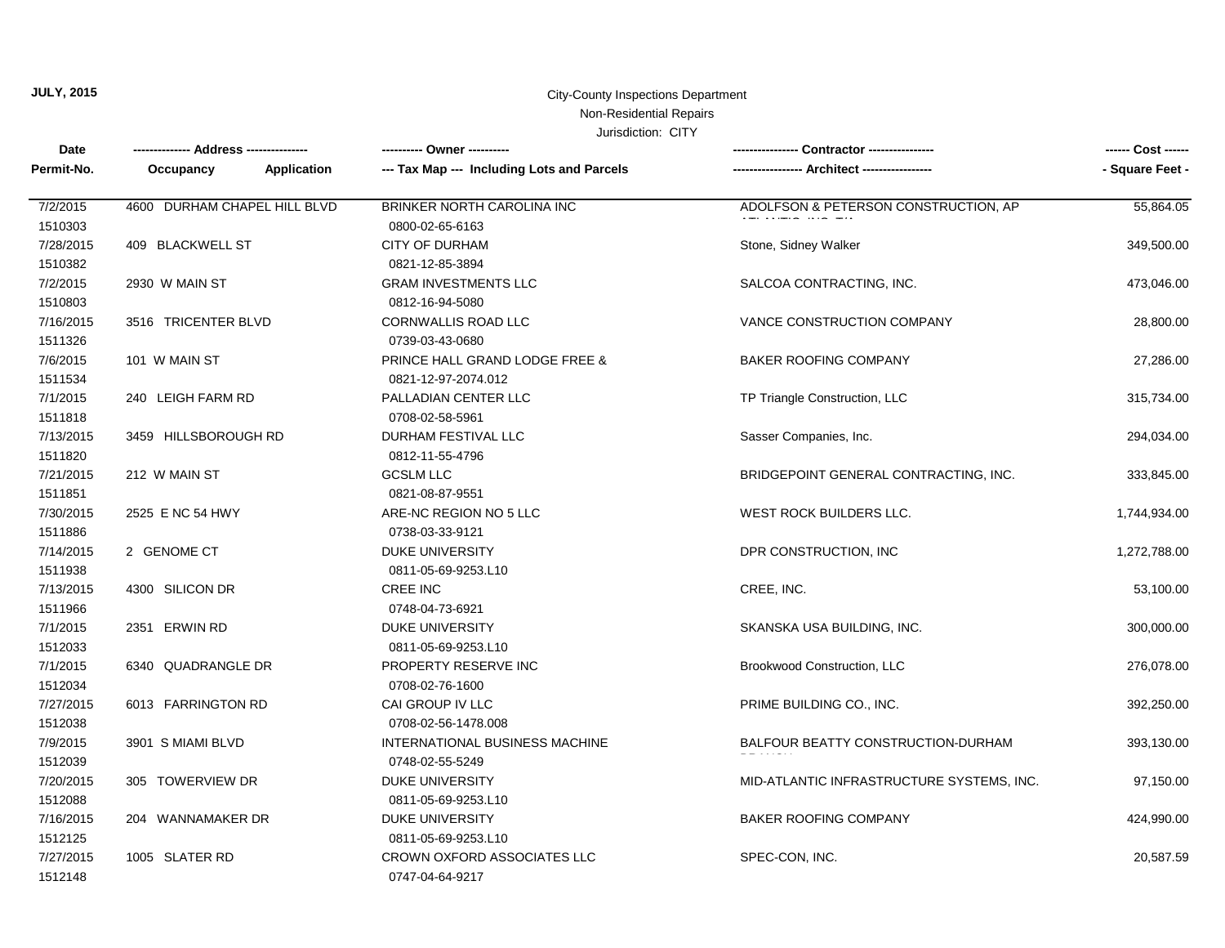## Non-Residential Repairs

| <b>Date</b> | ------------- Address -------------- |             | ---------- Owner ----------                |                                           | ------ Cost ------ |
|-------------|--------------------------------------|-------------|--------------------------------------------|-------------------------------------------|--------------------|
| Permit-No.  | Occupancy                            | Application | --- Tax Map --- Including Lots and Parcels | ---- Architect -----                      | - Square Feet -    |
| 7/2/2015    | 4600 DURHAM CHAPEL HILL BLVD         |             | BRINKER NORTH CAROLINA INC                 | ADOLFSON & PETERSON CONSTRUCTION, AP      | 55,864.05          |
| 1510303     |                                      |             | 0800-02-65-6163                            |                                           |                    |
| 7/28/2015   | 409 BLACKWELL ST                     |             | CITY OF DURHAM                             | Stone, Sidney Walker                      | 349,500.00         |
| 1510382     |                                      |             | 0821-12-85-3894                            |                                           |                    |
| 7/2/2015    | 2930 W MAIN ST                       |             | <b>GRAM INVESTMENTS LLC</b>                | SALCOA CONTRACTING, INC.                  | 473,046.00         |
| 1510803     |                                      |             | 0812-16-94-5080                            |                                           |                    |
| 7/16/2015   | 3516 TRICENTER BLVD                  |             | CORNWALLIS ROAD LLC                        | VANCE CONSTRUCTION COMPANY                | 28,800.00          |
| 1511326     |                                      |             | 0739-03-43-0680                            |                                           |                    |
| 7/6/2015    | 101 W MAIN ST                        |             | PRINCE HALL GRAND LODGE FREE &             | <b>BAKER ROOFING COMPANY</b>              | 27,286.00          |
| 1511534     |                                      |             | 0821-12-97-2074.012                        |                                           |                    |
| 7/1/2015    | 240 LEIGH FARM RD                    |             | PALLADIAN CENTER LLC                       | TP Triangle Construction, LLC             | 315,734.00         |
| 1511818     |                                      |             | 0708-02-58-5961                            |                                           |                    |
| 7/13/2015   | 3459 HILLSBOROUGH RD                 |             | <b>DURHAM FESTIVAL LLC</b>                 | Sasser Companies, Inc.                    | 294,034.00         |
| 1511820     |                                      |             | 0812-11-55-4796                            |                                           |                    |
| 7/21/2015   | 212 W MAIN ST                        |             | <b>GCSLM LLC</b>                           | BRIDGEPOINT GENERAL CONTRACTING, INC.     | 333,845.00         |
| 1511851     |                                      |             | 0821-08-87-9551                            |                                           |                    |
| 7/30/2015   | 2525 E NC 54 HWY                     |             | ARE-NC REGION NO 5 LLC                     | <b>WEST ROCK BUILDERS LLC.</b>            | 1,744,934.00       |
| 1511886     |                                      |             | 0738-03-33-9121                            |                                           |                    |
| 7/14/2015   | 2 GENOME CT                          |             | <b>DUKE UNIVERSITY</b>                     | DPR CONSTRUCTION, INC                     | 1,272,788.00       |
| 1511938     |                                      |             | 0811-05-69-9253.L10                        |                                           |                    |
| 7/13/2015   | 4300 SILICON DR                      |             | <b>CREE INC</b>                            | CREE, INC.                                | 53,100.00          |
| 1511966     |                                      |             | 0748-04-73-6921                            |                                           |                    |
| 7/1/2015    | 2351 ERWIN RD                        |             | DUKE UNIVERSITY                            | SKANSKA USA BUILDING, INC.                | 300,000.00         |
| 1512033     |                                      |             | 0811-05-69-9253.L10                        |                                           |                    |
| 7/1/2015    | 6340 QUADRANGLE DR                   |             | PROPERTY RESERVE INC                       | <b>Brookwood Construction, LLC</b>        | 276,078.00         |
| 1512034     |                                      |             | 0708-02-76-1600                            |                                           |                    |
| 7/27/2015   | 6013 FARRINGTON RD                   |             | CAI GROUP IV LLC                           | PRIME BUILDING CO., INC.                  | 392,250.00         |
| 1512038     |                                      |             | 0708-02-56-1478.008                        |                                           |                    |
| 7/9/2015    | 3901 S MIAMI BLVD                    |             | INTERNATIONAL BUSINESS MACHINE             | BALFOUR BEATTY CONSTRUCTION-DURHAM        | 393,130.00         |
| 1512039     |                                      |             | 0748-02-55-5249                            |                                           |                    |
| 7/20/2015   | 305 TOWERVIEW DR                     |             | <b>DUKE UNIVERSITY</b>                     | MID-ATLANTIC INFRASTRUCTURE SYSTEMS, INC. | 97,150.00          |
| 1512088     |                                      |             | 0811-05-69-9253.L10                        |                                           |                    |
| 7/16/2015   | 204 WANNAMAKER DR                    |             | DUKE UNIVERSITY                            | BAKER ROOFING COMPANY                     | 424,990.00         |
| 1512125     |                                      |             | 0811-05-69-9253.L10                        |                                           |                    |
| 7/27/2015   | 1005 SLATER RD                       |             | CROWN OXFORD ASSOCIATES LLC                | SPEC-CON, INC.                            | 20,587.59          |
| 1512148     |                                      |             | 0747-04-64-9217                            |                                           |                    |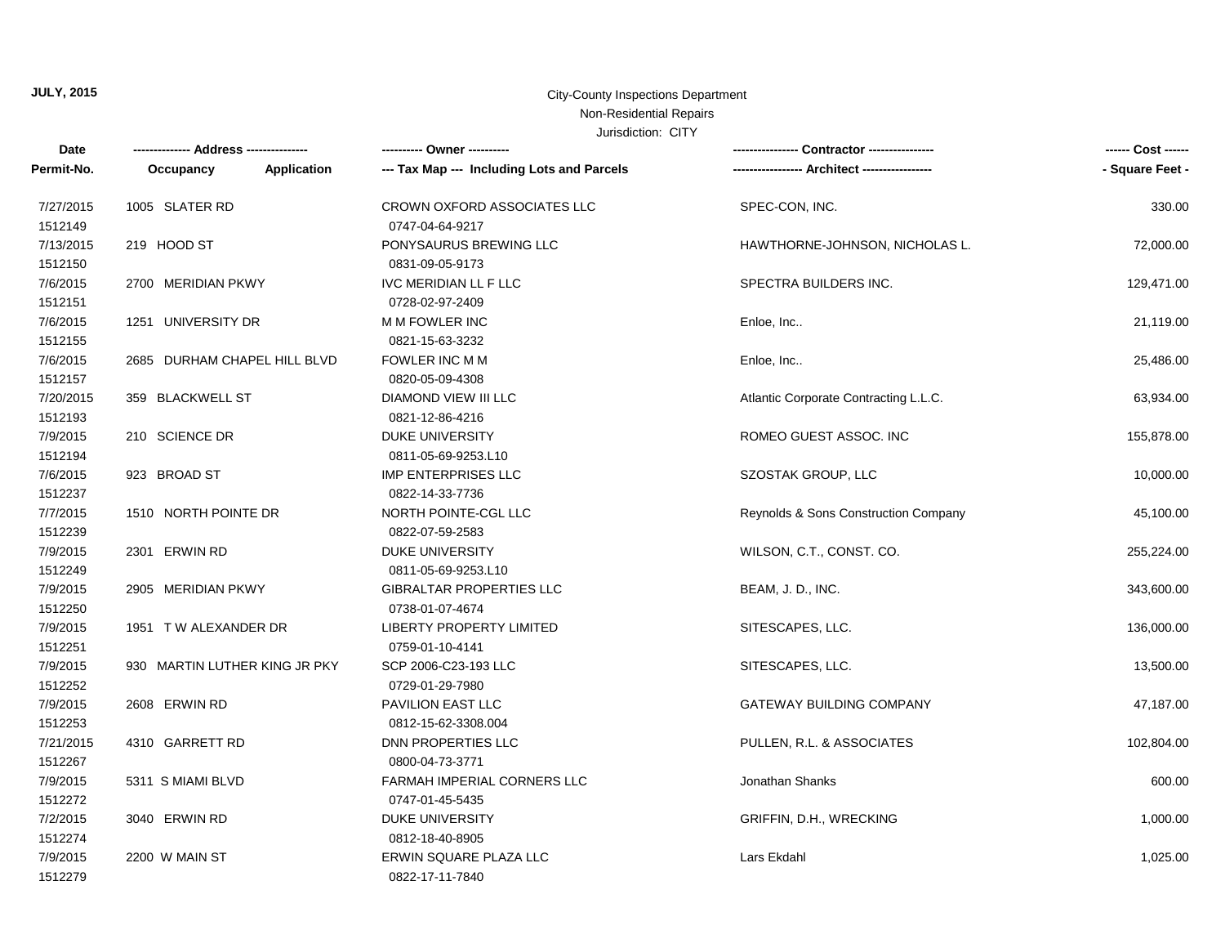# Non-Residential Repairs

| Date                 |                               | ---------- Owner ----------                        |                                       | ------ Cost ------ |
|----------------------|-------------------------------|----------------------------------------------------|---------------------------------------|--------------------|
| Permit-No.           | Application<br>Occupancy      | --- Tax Map --- Including Lots and Parcels         |                                       | - Square Feet -    |
| 7/27/2015<br>1512149 | 1005 SLATER RD                | CROWN OXFORD ASSOCIATES LLC<br>0747-04-64-9217     | SPEC-CON, INC.                        | 330.00             |
| 7/13/2015<br>1512150 | 219 HOOD ST                   | PONYSAURUS BREWING LLC<br>0831-09-05-9173          | HAWTHORNE-JOHNSON, NICHOLAS L.        | 72,000.00          |
| 7/6/2015<br>1512151  | 2700 MERIDIAN PKWY            | IVC MERIDIAN LL F LLC<br>0728-02-97-2409           | SPECTRA BUILDERS INC.                 | 129,471.00         |
| 7/6/2015<br>1512155  | 1251 UNIVERSITY DR            | M M FOWLER INC<br>0821-15-63-3232                  | Enloe, Inc                            | 21,119.00          |
| 7/6/2015<br>1512157  | 2685 DURHAM CHAPEL HILL BLVD  | FOWLER INC M M<br>0820-05-09-4308                  | Enloe, Inc                            | 25,486.00          |
| 7/20/2015<br>1512193 | 359 BLACKWELL ST              | DIAMOND VIEW III LLC<br>0821-12-86-4216            | Atlantic Corporate Contracting L.L.C. | 63,934.00          |
| 7/9/2015<br>1512194  | 210 SCIENCE DR                | <b>DUKE UNIVERSITY</b><br>0811-05-69-9253.L10      | ROMEO GUEST ASSOC. INC                | 155,878.00         |
| 7/6/2015<br>1512237  | 923 BROAD ST                  | IMP ENTERPRISES LLC<br>0822-14-33-7736             | SZOSTAK GROUP, LLC                    | 10,000.00          |
| 7/7/2015<br>1512239  | 1510 NORTH POINTE DR          | NORTH POINTE-CGL LLC<br>0822-07-59-2583            | Reynolds & Sons Construction Company  | 45,100.00          |
| 7/9/2015<br>1512249  | 2301 ERWIN RD                 | <b>DUKE UNIVERSITY</b><br>0811-05-69-9253.L10      | WILSON, C.T., CONST. CO.              | 255,224.00         |
| 7/9/2015<br>1512250  | 2905 MERIDIAN PKWY            | <b>GIBRALTAR PROPERTIES LLC</b><br>0738-01-07-4674 | BEAM, J. D., INC.                     | 343,600.00         |
| 7/9/2015<br>1512251  | 1951 TW ALEXANDER DR          | <b>LIBERTY PROPERTY LIMITED</b><br>0759-01-10-4141 | SITESCAPES, LLC.                      | 136,000.00         |
| 7/9/2015<br>1512252  | 930 MARTIN LUTHER KING JR PKY | SCP 2006-C23-193 LLC<br>0729-01-29-7980            | SITESCAPES, LLC.                      | 13,500.00          |
| 7/9/2015<br>1512253  | 2608 ERWIN RD                 | PAVILION EAST LLC<br>0812-15-62-3308.004           | <b>GATEWAY BUILDING COMPANY</b>       | 47,187.00          |
| 7/21/2015<br>1512267 | 4310 GARRETT RD               | <b>DNN PROPERTIES LLC</b><br>0800-04-73-3771       | PULLEN, R.L. & ASSOCIATES             | 102,804.00         |
| 7/9/2015<br>1512272  | 5311 S MIAMI BLVD             | FARMAH IMPERIAL CORNERS LLC<br>0747-01-45-5435     | Jonathan Shanks                       | 600.00             |
| 7/2/2015<br>1512274  | 3040 ERWIN RD                 | DUKE UNIVERSITY<br>0812-18-40-8905                 | GRIFFIN, D.H., WRECKING               | 1,000.00           |
| 7/9/2015<br>1512279  | 2200 W MAIN ST                | ERWIN SQUARE PLAZA LLC<br>0822-17-11-7840          | Lars Ekdahl                           | 1,025.00           |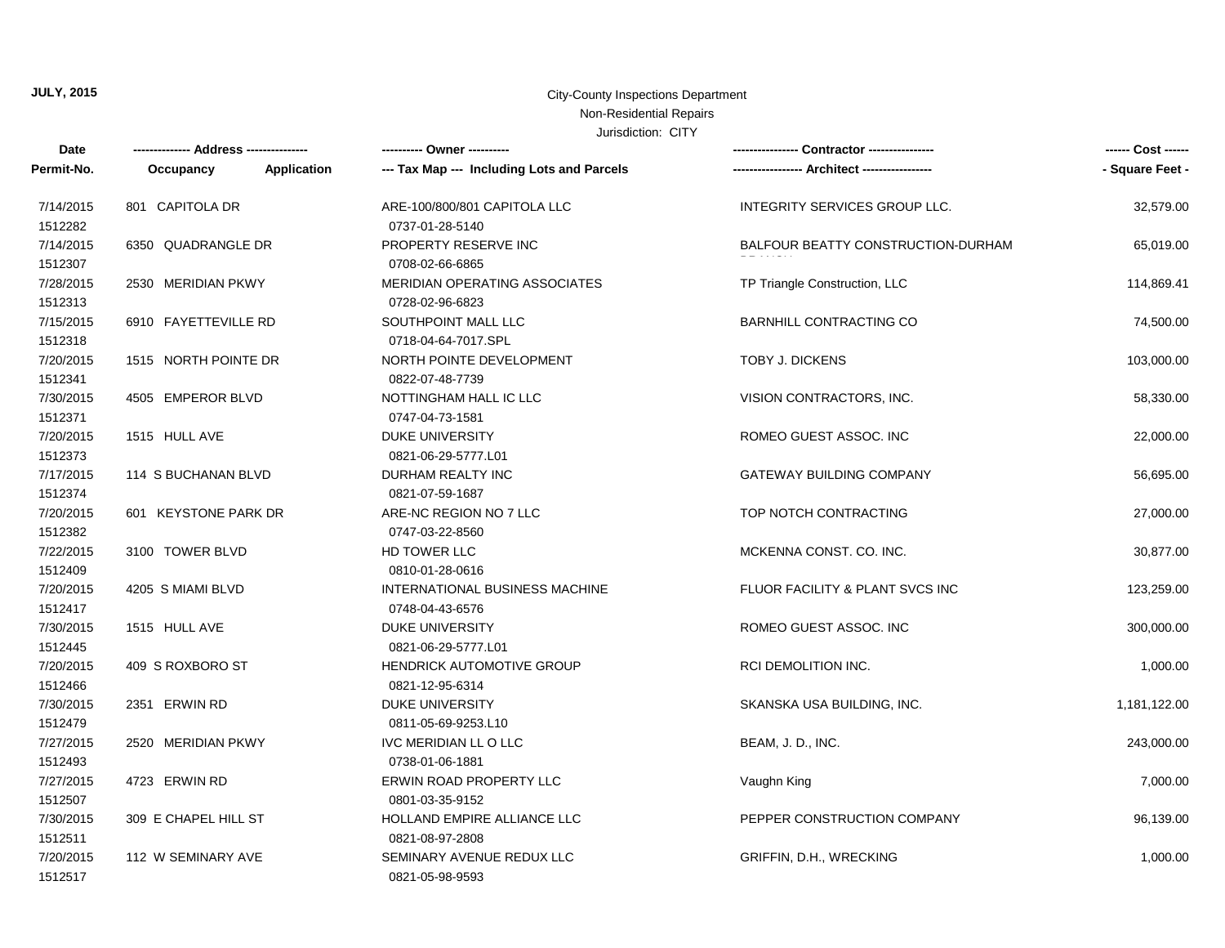# Non-Residential Repairs

| Date       | -------------- Address --------------- |             | ---------- Owner ----------                |                                    | ------ Cost ------ |
|------------|----------------------------------------|-------------|--------------------------------------------|------------------------------------|--------------------|
| Permit-No. | Occupancy                              | Application | --- Tax Map --- Including Lots and Parcels |                                    | - Square Feet -    |
| 7/14/2015  | 801 CAPITOLA DR                        |             | ARE-100/800/801 CAPITOLA LLC               | INTEGRITY SERVICES GROUP LLC.      | 32,579.00          |
| 1512282    |                                        |             | 0737-01-28-5140                            |                                    |                    |
| 7/14/2015  | 6350 QUADRANGLE DR                     |             | PROPERTY RESERVE INC                       | BALFOUR BEATTY CONSTRUCTION-DURHAM | 65,019.00          |
| 1512307    |                                        |             | 0708-02-66-6865                            |                                    |                    |
| 7/28/2015  | 2530 MERIDIAN PKWY                     |             | <b>MERIDIAN OPERATING ASSOCIATES</b>       | TP Triangle Construction, LLC      | 114,869.41         |
| 1512313    |                                        |             | 0728-02-96-6823                            |                                    |                    |
| 7/15/2015  | 6910 FAYETTEVILLE RD                   |             | SOUTHPOINT MALL LLC                        | <b>BARNHILL CONTRACTING CO</b>     | 74,500.00          |
| 1512318    |                                        |             | 0718-04-64-7017.SPL                        |                                    |                    |
| 7/20/2015  | 1515 NORTH POINTE DR                   |             | NORTH POINTE DEVELOPMENT                   | TOBY J. DICKENS                    | 103,000.00         |
| 1512341    |                                        |             | 0822-07-48-7739                            |                                    |                    |
| 7/30/2015  | 4505 EMPEROR BLVD                      |             | NOTTINGHAM HALL IC LLC                     | VISION CONTRACTORS, INC.           | 58,330.00          |
| 1512371    |                                        |             | 0747-04-73-1581                            |                                    |                    |
| 7/20/2015  | 1515 HULL AVE                          |             | <b>DUKE UNIVERSITY</b>                     | ROMEO GUEST ASSOC. INC             | 22,000.00          |
| 1512373    |                                        |             | 0821-06-29-5777.L01                        |                                    |                    |
| 7/17/2015  | 114 S BUCHANAN BLVD                    |             | <b>DURHAM REALTY INC</b>                   | <b>GATEWAY BUILDING COMPANY</b>    | 56,695.00          |
| 1512374    |                                        |             | 0821-07-59-1687                            |                                    |                    |
| 7/20/2015  | 601 KEYSTONE PARK DR                   |             | ARE-NC REGION NO 7 LLC                     | TOP NOTCH CONTRACTING              | 27,000.00          |
| 1512382    |                                        |             | 0747-03-22-8560                            |                                    |                    |
| 7/22/2015  | 3100 TOWER BLVD                        |             | HD TOWER LLC                               | MCKENNA CONST. CO. INC.            | 30,877.00          |
| 1512409    |                                        |             | 0810-01-28-0616                            |                                    |                    |
| 7/20/2015  | 4205 S MIAMI BLVD                      |             | INTERNATIONAL BUSINESS MACHINE             | FLUOR FACILITY & PLANT SVCS INC    | 123,259.00         |
| 1512417    |                                        |             | 0748-04-43-6576                            |                                    |                    |
| 7/30/2015  | 1515 HULL AVE                          |             | <b>DUKE UNIVERSITY</b>                     | ROMEO GUEST ASSOC. INC             | 300,000.00         |
| 1512445    |                                        |             | 0821-06-29-5777.L01                        |                                    |                    |
| 7/20/2015  | 409 S ROXBORO ST                       |             | <b>HENDRICK AUTOMOTIVE GROUP</b>           | RCI DEMOLITION INC.                | 1,000.00           |
| 1512466    |                                        |             | 0821-12-95-6314                            |                                    |                    |
| 7/30/2015  | 2351 ERWIN RD                          |             | <b>DUKE UNIVERSITY</b>                     | SKANSKA USA BUILDING, INC.         | 1,181,122.00       |
| 1512479    |                                        |             | 0811-05-69-9253.L10                        |                                    |                    |
| 7/27/2015  | 2520 MERIDIAN PKWY                     |             | IVC MERIDIAN LL O LLC                      | BEAM, J. D., INC.                  | 243,000.00         |
| 1512493    |                                        |             | 0738-01-06-1881                            |                                    |                    |
| 7/27/2015  | 4723 ERWIN RD                          |             | ERWIN ROAD PROPERTY LLC                    | Vaughn King                        | 7,000.00           |
| 1512507    |                                        |             | 0801-03-35-9152                            |                                    |                    |
| 7/30/2015  | 309 E CHAPEL HILL ST                   |             | HOLLAND EMPIRE ALLIANCE LLC                | PEPPER CONSTRUCTION COMPANY        | 96,139.00          |
| 1512511    |                                        |             | 0821-08-97-2808                            |                                    |                    |
| 7/20/2015  | 112 W SEMINARY AVE                     |             | SEMINARY AVENUE REDUX LLC                  | GRIFFIN, D.H., WRECKING            | 1,000.00           |
| 1512517    |                                        |             | 0821-05-98-9593                            |                                    |                    |